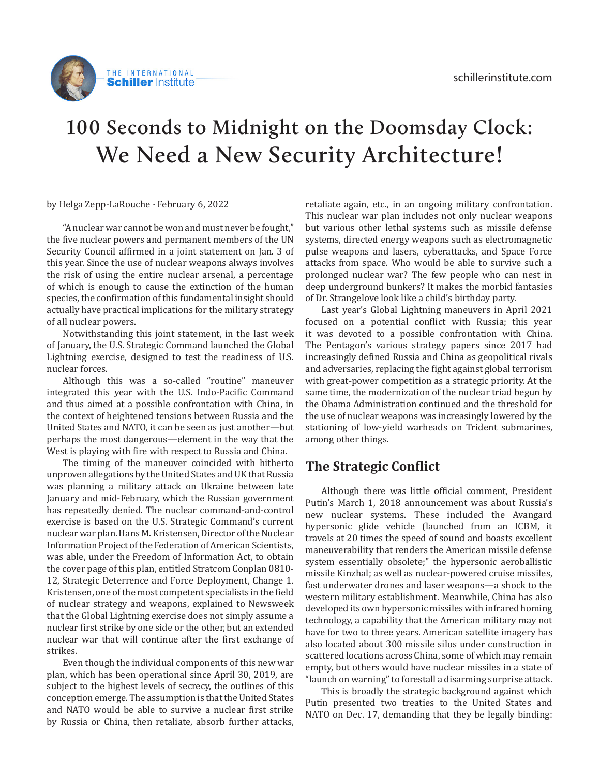

## **100 Seconds to Midnight on the Doomsday Clock: We Need a New Security Architecture!**

by Helga Zepp-LaRouche · February 6, 2022

"A nuclear war cannot be won and must never be fought," the five nuclear powers and permanent members of the UN Security Council affirmed in a joint statement on Jan. 3 of this year. Since the use of nuclear weapons always involves the risk of using the entire nuclear arsenal, a percentage of which is enough to cause the extinction of the human species, the confirmation of this fundamental insight should actually have practical implications for the military strategy of all nuclear powers.

Notwithstanding this joint statement, in the last week of January, the U.S. Strategic Command launched the Global Lightning exercise, designed to test the readiness of U.S. nuclear forces.

Although this was a so-called "routine" maneuver integrated this year with the U.S. Indo-Pacific Command and thus aimed at a possible confrontation with China, in the context of heightened tensions between Russia and the United States and NATO, it can be seen as just another—but perhaps the most dangerous—element in the way that the West is playing with fire with respect to Russia and China.

The timing of the maneuver coincided with hitherto unproven allegations by the United States and UK that Russia was planning a military attack on Ukraine between late January and mid-February, which the Russian government has repeatedly denied. The nuclear command-and-control exercise is based on the U.S. Strategic Command's current nuclear war plan. Hans M. Kristensen, Director of the Nuclear Information Project of the Federation of American Scientists, was able, under the Freedom of Information Act, to obtain the cover page of this plan, entitled Stratcom Conplan 0810- 12, Strategic Deterrence and Force Deployment, Change 1. Kristensen, one of the most competent specialists in the field of nuclear strategy and weapons, explained to Newsweek that the Global Lightning exercise does not simply assume a nuclear first strike by one side or the other, but an extended nuclear war that will continue after the first exchange of strikes.

Even though the individual components of this new war plan, which has been operational since April 30, 2019, are subject to the highest levels of secrecy, the outlines of this conception emerge. The assumption is that the United States and NATO would be able to survive a nuclear first strike by Russia or China, then retaliate, absorb further attacks,

retaliate again, etc., in an ongoing military confrontation. This nuclear war plan includes not only nuclear weapons but various other lethal systems such as missile defense systems, directed energy weapons such as electromagnetic pulse weapons and lasers, cyberattacks, and Space Force attacks from space. Who would be able to survive such a prolonged nuclear war? The few people who can nest in deep underground bunkers? It makes the morbid fantasies of Dr. Strangelove look like a child's birthday party.

Last year's Global Lightning maneuvers in April 2021 focused on a potential conflict with Russia; this year it was devoted to a possible confrontation with China. The Pentagon's various strategy papers since 2017 had increasingly defined Russia and China as geopolitical rivals and adversaries, replacing the fight against global terrorism with great-power competition as a strategic priority. At the same time, the modernization of the nuclear triad begun by the Obama Administration continued and the threshold for the use of nuclear weapons was increasingly lowered by the stationing of low-yield warheads on Trident submarines, among other things.

## **The Strategic Conflict**

Although there was little official comment, President Putin's March 1, 2018 announcement was about Russia's new nuclear systems. These included the Avangard hypersonic glide vehicle (launched from an ICBM, it travels at 20 times the speed of sound and boasts excellent maneuverability that renders the American missile defense system essentially obsolete;" the hypersonic aeroballistic missile Kinzhal; as well as nuclear-powered cruise missiles, fast underwater drones and laser weapons—a shock to the western military establishment. Meanwhile, China has also developed its own hypersonic missiles with infrared homing technology, a capability that the American military may not have for two to three years. American satellite imagery has also located about 300 missile silos under construction in scattered locations across China, some of which may remain empty, but others would have nuclear missiles in a state of "launch on warning" to forestall a disarming surprise attack.

This is broadly the strategic background against which Putin presented two treaties to the United States and NATO on Dec. 17, demanding that they be legally binding: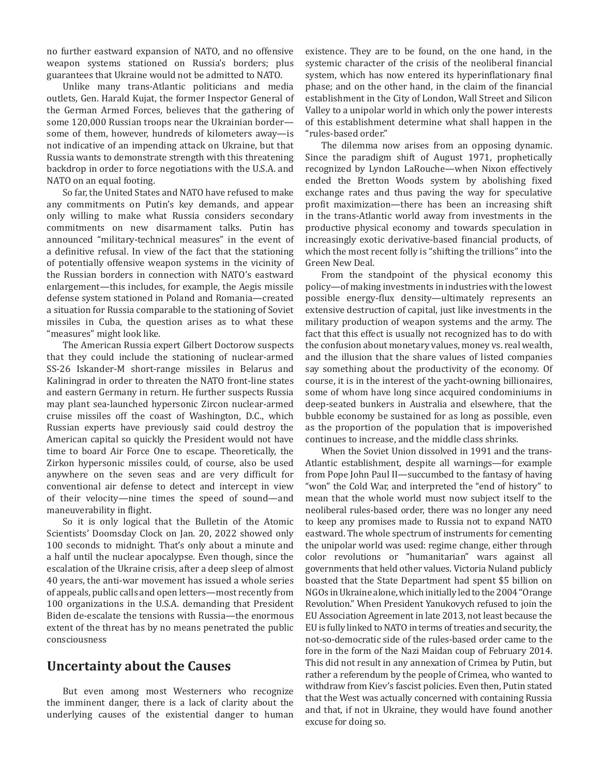no further eastward expansion of NATO, and no offensive weapon systems stationed on Russia's borders; plus guarantees that Ukraine would not be admitted to NATO.

Unlike many trans-Atlantic politicians and media outlets, Gen. Harald Kujat, the former Inspector General of the German Armed Forces, believes that the gathering of some 120,000 Russian troops near the Ukrainian border some of them, however, hundreds of kilometers away—is not indicative of an impending attack on Ukraine, but that Russia wants to demonstrate strength with this threatening backdrop in order to force negotiations with the U.S.A. and NATO on an equal footing.

So far, the United States and NATO have refused to make any commitments on Putin's key demands, and appear only willing to make what Russia considers secondary commitments on new disarmament talks. Putin has announced "military-technical measures" in the event of a definitive refusal. In view of the fact that the stationing of potentially offensive weapon systems in the vicinity of the Russian borders in connection with NATO's eastward enlargement—this includes, for example, the Aegis missile defense system stationed in Poland and Romania—created a situation for Russia comparable to the stationing of Soviet missiles in Cuba, the question arises as to what these "measures" might look like.

The American Russia expert Gilbert Doctorow suspects that they could include the stationing of nuclear-armed SS-26 Iskander-M short-range missiles in Belarus and Kaliningrad in order to threaten the NATO front-line states and eastern Germany in return. He further suspects Russia may plant sea-launched hypersonic Zircon nuclear-armed cruise missiles off the coast of Washington, D.C., which Russian experts have previously said could destroy the American capital so quickly the President would not have time to board Air Force One to escape. Theoretically, the Zirkon hypersonic missiles could, of course, also be used anywhere on the seven seas and are very difficult for conventional air defense to detect and intercept in view of their velocity—nine times the speed of sound—and maneuverability in flight.

So it is only logical that the Bulletin of the Atomic Scientists' Doomsday Clock on Jan. 20, 2022 showed only 100 seconds to midnight. That's only about a minute and a half until the nuclear apocalypse. Even though, since the escalation of the Ukraine crisis, after a deep sleep of almost 40 years, the anti-war movement has issued a whole series of appeals, public calls and open letters—most recently from 100 organizations in the U.S.A. demanding that President Biden de-escalate the tensions with Russia—the enormous extent of the threat has by no means penetrated the public consciousness

## **Uncertainty about the Causes**

But even among most Westerners who recognize the imminent danger, there is a lack of clarity about the underlying causes of the existential danger to human

existence. They are to be found, on the one hand, in the systemic character of the crisis of the neoliberal financial system, which has now entered its hyperinflationary final phase; and on the other hand, in the claim of the financial establishment in the City of London, Wall Street and Silicon Valley to a unipolar world in which only the power interests of this establishment determine what shall happen in the "rules-based order."

The dilemma now arises from an opposing dynamic. Since the paradigm shift of August 1971, prophetically recognized by Lyndon LaRouche—when Nixon effectively ended the Bretton Woods system by abolishing fixed exchange rates and thus paving the way for speculative profit maximization—there has been an increasing shift in the trans-Atlantic world away from investments in the productive physical economy and towards speculation in increasingly exotic derivative-based financial products, of which the most recent folly is "shifting the trillions" into the Green New Deal.

From the standpoint of the physical economy this policy—of making investments in industries with the lowest possible energy-flux density—ultimately represents an extensive destruction of capital, just like investments in the military production of weapon systems and the army. The fact that this effect is usually not recognized has to do with the confusion about monetary values, money vs. real wealth, and the illusion that the share values of listed companies say something about the productivity of the economy. Of course, it is in the interest of the yacht-owning billionaires, some of whom have long since acquired condominiums in deep-seated bunkers in Australia and elsewhere, that the bubble economy be sustained for as long as possible, even as the proportion of the population that is impoverished continues to increase, and the middle class shrinks.

When the Soviet Union dissolved in 1991 and the trans-Atlantic establishment, despite all warnings—for example from Pope John Paul II—succumbed to the fantasy of having "won" the Cold War, and interpreted the "end of history" to mean that the whole world must now subject itself to the neoliberal rules-based order, there was no longer any need to keep any promises made to Russia not to expand NATO eastward. The whole spectrum of instruments for cementing the unipolar world was used: regime change, either through color revolutions or "humanitarian" wars against all governments that held other values. Victoria Nuland publicly boasted that the State Department had spent \$5 billion on NGOs in Ukraine alone, which initially led to the 2004 "Orange Revolution." When President Yanukovych refused to join the EU Association Agreement in late 2013, not least because the EU is fully linked to NATO in terms of treaties and security, the not-so-democratic side of the rules-based order came to the fore in the form of the Nazi Maidan coup of February 2014. This did not result in any annexation of Crimea by Putin, but rather a referendum by the people of Crimea, who wanted to withdraw from Kiev's fascist policies. Even then, Putin stated that the West was actually concerned with containing Russia and that, if not in Ukraine, they would have found another excuse for doing so.